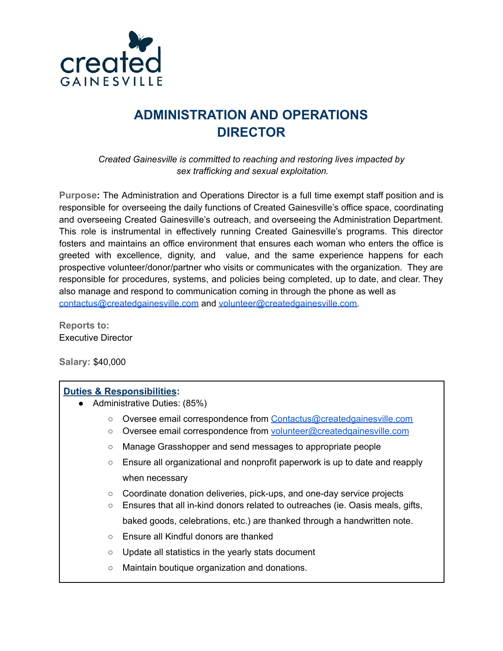

# **ADMINISTRATION AND OPERATIONS DIRECTOR**

*Created Gainesville is committed to reaching and restoring lives impacted by sex trafficking and sexual exploitation.*

**Purpose:** The Administration and Operations Director is a full time exempt staff position and is responsible for overseeing the daily functions of Created Gainesville's office space, coordinating and overseeing Created Gainesville's outreach, and overseeing the Administration Department. This role is instrumental in effectively running Created Gainesville's programs. This director fosters and maintains an office environment that ensures each woman who enters the office is greeted with excellence, dignity, and value, and the same experience happens for each prospective volunteer/donor/partner who visits or communicates with the organization. They are responsible for procedures, systems, and policies being completed, up to date, and clear. They also manage and respond to communication coming in through the phone as well as [contactus@createdgainesville.com](mailto:contactus@createdgainesville.com) and [volunteer@createdgainesville.com.](mailto:volunteer@createdgainesville.com)

**Reports to:** Executive Director

**Salary:** \$40,000

### **Duties & Responsibilities:**

- Administrative Duties: (85%)
	- Oversee email correspondence from [Contactus@createdgainesville.com](mailto:Contactus@createdgainesville.com)
	- Oversee email correspondence from [volunteer@createdgainesville.com](mailto:volunteer@createdgainesville.com)
	- Manage Grasshopper and send messages to appropriate people
	- $\circ$  Ensure all organizational and nonprofit paperwork is up to date and reapply when necessary
	- Coordinate donation deliveries, pick-ups, and one-day service projects
	- Ensures that all in-kind donors related to outreaches (ie. Oasis meals, gifts, baked goods, celebrations, etc.) are thanked through a handwritten note.
	- Ensure all Kindful donors are thanked
	- Update all statistics in the yearly stats document
	- Maintain boutique organization and donations.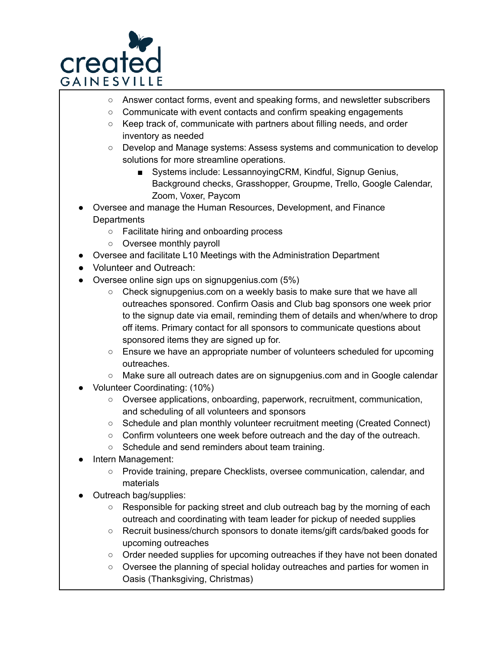

- Answer contact forms, event and speaking forms, and newsletter subscribers
- Communicate with event contacts and confirm speaking engagements
- Keep track of, communicate with partners about filling needs, and order inventory as needed
- Develop and Manage systems: Assess systems and communication to develop solutions for more streamline operations.
	- Systems include: LessannoyingCRM, Kindful, Signup Genius, Background checks, Grasshopper, Groupme, Trello, Google Calendar, Zoom, Voxer, Paycom
- Oversee and manage the Human Resources, Development, and Finance **Departments** 
	- Facilitate hiring and onboarding process
	- Oversee monthly payroll
- Oversee and facilitate L10 Meetings with the Administration Department
- Volunteer and Outreach:
- Oversee online sign ups on signupgenius.com (5%)
	- $\circ$  Check signupgenius.com on a weekly basis to make sure that we have all outreaches sponsored. Confirm Oasis and Club bag sponsors one week prior to the signup date via email, reminding them of details and when/where to drop off items. Primary contact for all sponsors to communicate questions about sponsored items they are signed up for.
	- Ensure we have an appropriate number of volunteers scheduled for upcoming outreaches.
	- Make sure all outreach dates are on signupgenius.com and in Google calendar
- Volunteer Coordinating: (10%)
	- Oversee applications, onboarding, paperwork, recruitment, communication, and scheduling of all volunteers and sponsors
	- Schedule and plan monthly volunteer recruitment meeting (Created Connect)
	- Confirm volunteers one week before outreach and the day of the outreach.
	- Schedule and send reminders about team training.
- Intern Management:
	- Provide training, prepare Checklists, oversee communication, calendar, and materials
- Outreach bag/supplies:
	- Responsible for packing street and club outreach bag by the morning of each outreach and coordinating with team leader for pickup of needed supplies
	- Recruit business/church sponsors to donate items/gift cards/baked goods for upcoming outreaches
	- Order needed supplies for upcoming outreaches if they have not been donated
	- Oversee the planning of special holiday outreaches and parties for women in Oasis (Thanksgiving, Christmas)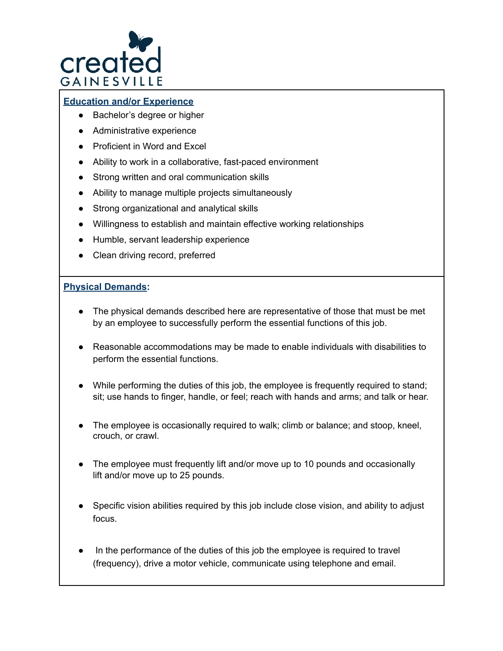

#### **Education and/or Experience**

- Bachelor's degree or higher
- Administrative experience
- Proficient in Word and Excel
- Ability to work in a collaborative, fast-paced environment
- Strong written and oral communication skills
- Ability to manage multiple projects simultaneously
- Strong organizational and analytical skills
- Willingness to establish and maintain effective working relationships
- Humble, servant leadership experience
- Clean driving record, preferred

#### **Physical Demands:**

- The physical demands described here are representative of those that must be met by an employee to successfully perform the essential functions of this job.
- Reasonable accommodations may be made to enable individuals with disabilities to perform the essential functions.
- While performing the duties of this job, the employee is frequently required to stand; sit; use hands to finger, handle, or feel; reach with hands and arms; and talk or hear.
- The employee is occasionally required to walk; climb or balance; and stoop, kneel, crouch, or crawl.
- The employee must frequently lift and/or move up to 10 pounds and occasionally lift and/or move up to 25 pounds.
- Specific vision abilities required by this job include close vision, and ability to adjust focus.
- In the performance of the duties of this job the employee is required to travel (frequency), drive a motor vehicle, communicate using telephone and email.